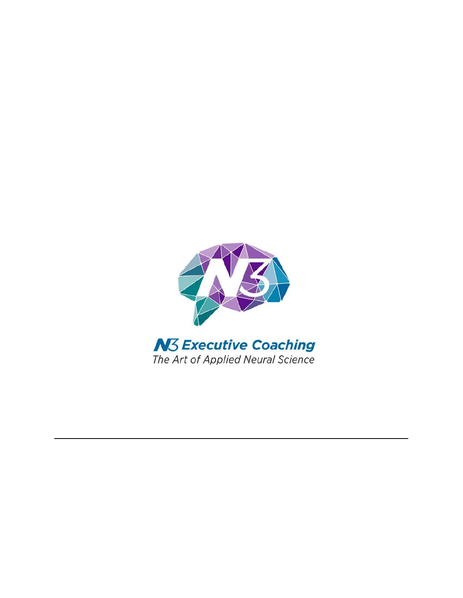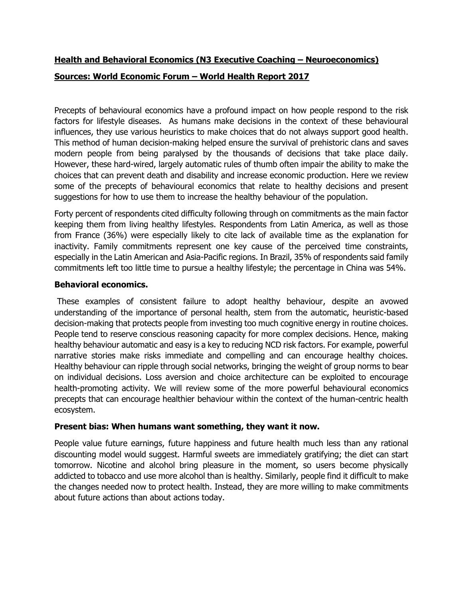# **Health and Behavioral Economics (N3 Executive Coaching – Neuroeconomics)**

# **Sources: World Economic Forum – World Health Report 2017**

Precepts of behavioural economics have a profound impact on how people respond to the risk factors for lifestyle diseases. As humans make decisions in the context of these behavioural influences, they use various heuristics to make choices that do not always support good health. This method of human decision-making helped ensure the survival of prehistoric clans and saves modern people from being paralysed by the thousands of decisions that take place daily. However, these hard-wired, largely automatic rules of thumb often impair the ability to make the choices that can prevent death and disability and increase economic production. Here we review some of the precepts of behavioural economics that relate to healthy decisions and present suggestions for how to use them to increase the healthy behaviour of the population.

Forty percent of respondents cited difficulty following through on commitments as the main factor keeping them from living healthy lifestyles. Respondents from Latin America, as well as those from France (36%) were especially likely to cite lack of available time as the explanation for inactivity. Family commitments represent one key cause of the perceived time constraints, especially in the Latin American and Asia-Pacific regions. In Brazil, 35% of respondents said family commitments left too little time to pursue a healthy lifestyle; the percentage in China was 54%.

### **Behavioral economics.**

These examples of consistent failure to adopt healthy behaviour, despite an avowed understanding of the importance of personal health, stem from the automatic, heuristic-based decision-making that protects people from investing too much cognitive energy in routine choices. People tend to reserve conscious reasoning capacity for more complex decisions. Hence, making healthy behaviour automatic and easy is a key to reducing NCD risk factors. For example, powerful narrative stories make risks immediate and compelling and can encourage healthy choices. Healthy behaviour can ripple through social networks, bringing the weight of group norms to bear on individual decisions. Loss aversion and choice architecture can be exploited to encourage health-promoting activity. We will review some of the more powerful behavioural economics precepts that can encourage healthier behaviour within the context of the human-centric health ecosystem.

# **Present bias: When humans want something, they want it now.**

People value future earnings, future happiness and future health much less than any rational discounting model would suggest. Harmful sweets are immediately gratifying; the diet can start tomorrow. Nicotine and alcohol bring pleasure in the moment, so users become physically addicted to tobacco and use more alcohol than is healthy. Similarly, people find it difficult to make the changes needed now to protect health. Instead, they are more willing to make commitments about future actions than about actions today.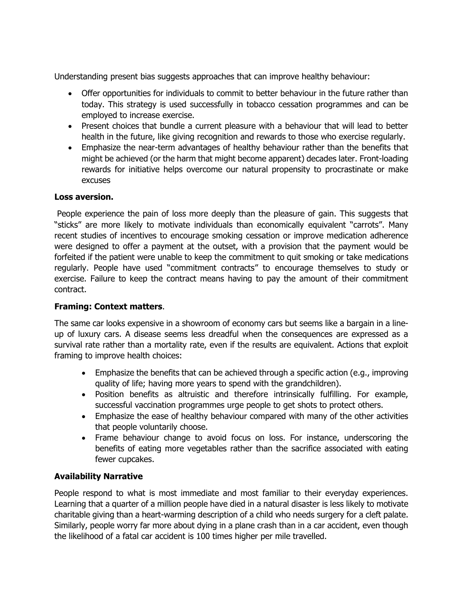Understanding present bias suggests approaches that can improve healthy behaviour:

- Offer opportunities for individuals to commit to better behaviour in the future rather than today. This strategy is used successfully in tobacco cessation programmes and can be employed to increase exercise.
- Present choices that bundle a current pleasure with a behaviour that will lead to better health in the future, like giving recognition and rewards to those who exercise regularly.
- Emphasize the near-term advantages of healthy behaviour rather than the benefits that might be achieved (or the harm that might become apparent) decades later. Front-loading rewards for initiative helps overcome our natural propensity to procrastinate or make excuses

#### **Loss aversion.**

People experience the pain of loss more deeply than the pleasure of gain. This suggests that "sticks" are more likely to motivate individuals than economically equivalent "carrots". Many recent studies of incentives to encourage smoking cessation or improve medication adherence were designed to offer a payment at the outset, with a provision that the payment would be forfeited if the patient were unable to keep the commitment to quit smoking or take medications regularly. People have used "commitment contracts" to encourage themselves to study or exercise. Failure to keep the contract means having to pay the amount of their commitment contract.

#### **Framing: Context matters**.

The same car looks expensive in a showroom of economy cars but seems like a bargain in a lineup of luxury cars. A disease seems less dreadful when the consequences are expressed as a survival rate rather than a mortality rate, even if the results are equivalent. Actions that exploit framing to improve health choices:

- Emphasize the benefits that can be achieved through a specific action (e.g., improving quality of life; having more years to spend with the grandchildren).
- Position benefits as altruistic and therefore intrinsically fulfilling. For example, successful vaccination programmes urge people to get shots to protect others.
- Emphasize the ease of healthy behaviour compared with many of the other activities that people voluntarily choose.
- Frame behaviour change to avoid focus on loss. For instance, underscoring the benefits of eating more vegetables rather than the sacrifice associated with eating fewer cupcakes.

#### **Availability Narrative**

People respond to what is most immediate and most familiar to their everyday experiences. Learning that a quarter of a million people have died in a natural disaster is less likely to motivate charitable giving than a heart-warming description of a child who needs surgery for a cleft palate. Similarly, people worry far more about dying in a plane crash than in a car accident, even though the likelihood of a fatal car accident is 100 times higher per mile travelled.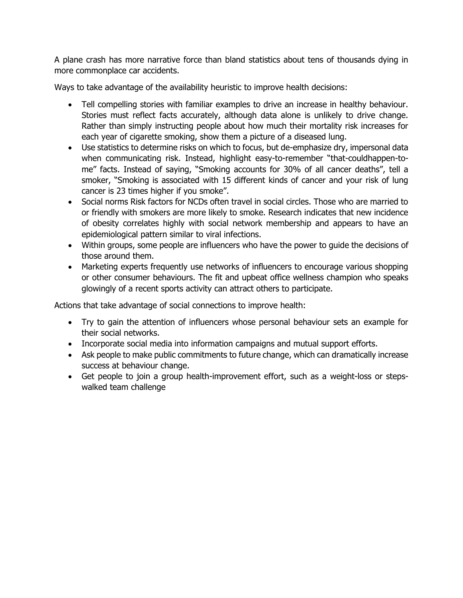A plane crash has more narrative force than bland statistics about tens of thousands dying in more commonplace car accidents.

Ways to take advantage of the availability heuristic to improve health decisions:

- Tell compelling stories with familiar examples to drive an increase in healthy behaviour. Stories must reflect facts accurately, although data alone is unlikely to drive change. Rather than simply instructing people about how much their mortality risk increases for each year of cigarette smoking, show them a picture of a diseased lung.
- Use statistics to determine risks on which to focus, but de-emphasize dry, impersonal data when communicating risk. Instead, highlight easy-to-remember "that-couldhappen-tome" facts. Instead of saying, "Smoking accounts for 30% of all cancer deaths", tell a smoker, "Smoking is associated with 15 different kinds of cancer and your risk of lung cancer is 23 times higher if you smoke".
- Social norms Risk factors for NCDs often travel in social circles. Those who are married to or friendly with smokers are more likely to smoke. Research indicates that new incidence of obesity correlates highly with social network membership and appears to have an epidemiological pattern similar to viral infections.
- Within groups, some people are influencers who have the power to guide the decisions of those around them.
- Marketing experts frequently use networks of influencers to encourage various shopping or other consumer behaviours. The fit and upbeat office wellness champion who speaks glowingly of a recent sports activity can attract others to participate.

Actions that take advantage of social connections to improve health:

- Try to gain the attention of influencers whose personal behaviour sets an example for their social networks.
- Incorporate social media into information campaigns and mutual support efforts.
- Ask people to make public commitments to future change, which can dramatically increase success at behaviour change.
- Get people to join a group health-improvement effort, such as a weight-loss or stepswalked team challenge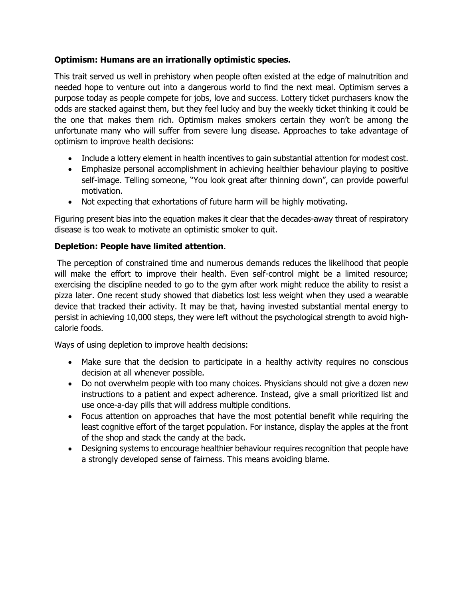# **Optimism: Humans are an irrationally optimistic species.**

This trait served us well in prehistory when people often existed at the edge of malnutrition and needed hope to venture out into a dangerous world to find the next meal. Optimism serves a purpose today as people compete for jobs, love and success. Lottery ticket purchasers know the odds are stacked against them, but they feel lucky and buy the weekly ticket thinking it could be the one that makes them rich. Optimism makes smokers certain they won't be among the unfortunate many who will suffer from severe lung disease. Approaches to take advantage of optimism to improve health decisions:

- Include a lottery element in health incentives to gain substantial attention for modest cost.
- Emphasize personal accomplishment in achieving healthier behaviour playing to positive self-image. Telling someone, "You look great after thinning down", can provide powerful motivation.
- Not expecting that exhortations of future harm will be highly motivating.

Figuring present bias into the equation makes it clear that the decades-away threat of respiratory disease is too weak to motivate an optimistic smoker to quit.

# **Depletion: People have limited attention**.

The perception of constrained time and numerous demands reduces the likelihood that people will make the effort to improve their health. Even self-control might be a limited resource; exercising the discipline needed to go to the gym after work might reduce the ability to resist a pizza later. One recent study showed that diabetics lost less weight when they used a wearable device that tracked their activity. It may be that, having invested substantial mental energy to persist in achieving 10,000 steps, they were left without the psychological strength to avoid highcalorie foods.

Ways of using depletion to improve health decisions:

- Make sure that the decision to participate in a healthy activity requires no conscious decision at all whenever possible.
- Do not overwhelm people with too many choices. Physicians should not give a dozen new instructions to a patient and expect adherence. Instead, give a small prioritized list and use once-a-day pills that will address multiple conditions.
- Focus attention on approaches that have the most potential benefit while requiring the least cognitive effort of the target population. For instance, display the apples at the front of the shop and stack the candy at the back.
- Designing systems to encourage healthier behaviour requires recognition that people have a strongly developed sense of fairness. This means avoiding blame.